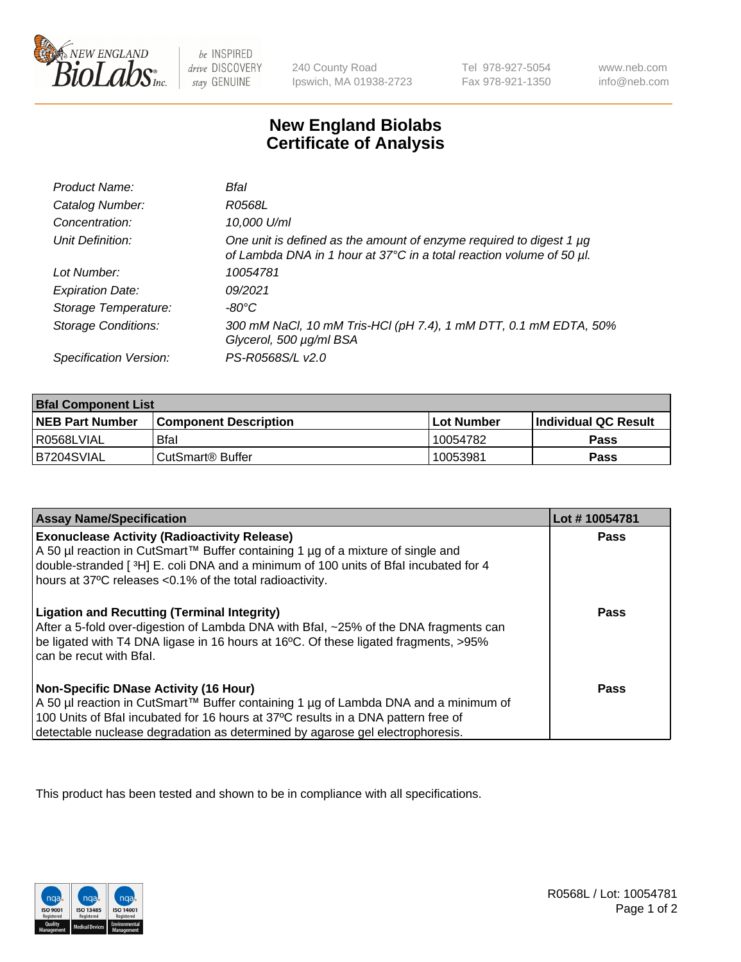

 $be$  INSPIRED drive DISCOVERY stay GENUINE

240 County Road Ipswich, MA 01938-2723 Tel 978-927-5054 Fax 978-921-1350 www.neb.com info@neb.com

## **New England Biolabs Certificate of Analysis**

| Product Name:              | Bfal                                                                                                                                             |
|----------------------------|--------------------------------------------------------------------------------------------------------------------------------------------------|
| Catalog Number:            | R0568L                                                                                                                                           |
| Concentration:             | 10,000 U/ml                                                                                                                                      |
| Unit Definition:           | One unit is defined as the amount of enzyme required to digest 1 $\mu$ g<br>of Lambda DNA in 1 hour at 37°C in a total reaction volume of 50 µl. |
| Lot Number:                | 10054781                                                                                                                                         |
| <b>Expiration Date:</b>    | 09/2021                                                                                                                                          |
| Storage Temperature:       | -80°C                                                                                                                                            |
| <b>Storage Conditions:</b> | 300 mM NaCl, 10 mM Tris-HCl (pH 7.4), 1 mM DTT, 0.1 mM EDTA, 50%<br>Glycerol, 500 µg/ml BSA                                                      |
| Specification Version:     | PS-R0568S/L v2.0                                                                                                                                 |

| <b>Bfal Component List</b> |                              |              |                             |  |
|----------------------------|------------------------------|--------------|-----------------------------|--|
| <b>NEB Part Number</b>     | <b>Component Description</b> | l Lot Number | <b>Individual QC Result</b> |  |
| l R0568LVIAL               | <b>Bfal</b>                  | 10054782     | Pass                        |  |
| B7204SVIAL                 | l CutSmart® Buffer           | 10053981     | Pass                        |  |

| <b>Assay Name/Specification</b>                                                                                                                                                                                                                                                                           | Lot #10054781 |
|-----------------------------------------------------------------------------------------------------------------------------------------------------------------------------------------------------------------------------------------------------------------------------------------------------------|---------------|
| <b>Exonuclease Activity (Radioactivity Release)</b><br>A 50 µl reaction in CutSmart™ Buffer containing 1 µg of a mixture of single and<br>double-stranded [3H] E. coli DNA and a minimum of 100 units of Bfal incubated for 4<br>hours at 37°C releases <0.1% of the total radioactivity.                 | Pass          |
| <b>Ligation and Recutting (Terminal Integrity)</b><br>After a 5-fold over-digestion of Lambda DNA with Bfal, ~25% of the DNA fragments can<br>be ligated with T4 DNA ligase in 16 hours at 16°C. Of these ligated fragments, >95%<br>can be recut with Bfal.                                              | Pass          |
| <b>Non-Specific DNase Activity (16 Hour)</b><br>A 50 µl reaction in CutSmart™ Buffer containing 1 µg of Lambda DNA and a minimum of<br>100 Units of Bfal incubated for 16 hours at 37°C results in a DNA pattern free of<br>detectable nuclease degradation as determined by agarose gel electrophoresis. | Pass          |

This product has been tested and shown to be in compliance with all specifications.